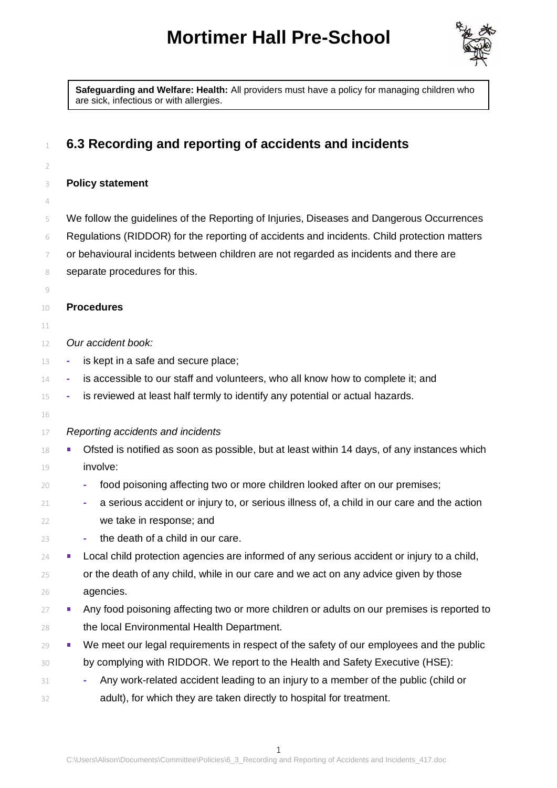## **Mortimer Hall Pre-School**



**Safeguarding and Welfare: Health:** All providers must have a policy for managing children who are sick, infectious or with allergies.

| 1        | 6.3 Recording and reporting of accidents and incidents                                           |
|----------|--------------------------------------------------------------------------------------------------|
| 2        |                                                                                                  |
| 3        | <b>Policy statement</b>                                                                          |
| 4        |                                                                                                  |
| 5        | We follow the guidelines of the Reporting of Injuries, Diseases and Dangerous Occurrences        |
| 6        | Regulations (RIDDOR) for the reporting of accidents and incidents. Child protection matters      |
| 7        | or behavioural incidents between children are not regarded as incidents and there are            |
| 8        | separate procedures for this.                                                                    |
| 9        |                                                                                                  |
| 10       | <b>Procedures</b>                                                                                |
| 11       |                                                                                                  |
| 12       | Our accident book:                                                                               |
| 13       | is kept in a safe and secure place;<br>۰                                                         |
| 14       | is accessible to our staff and volunteers, who all know how to complete it; and<br>۰             |
| 15       | is reviewed at least half termly to identify any potential or actual hazards.<br>٠               |
| 16<br>17 | Reporting accidents and incidents                                                                |
| 18       | Ofsted is notified as soon as possible, but at least within 14 days, of any instances which<br>ш |
| 19       | involve:                                                                                         |
| 20       | food poisoning affecting two or more children looked after on our premises;<br>٠                 |
| 21       | a serious accident or injury to, or serious illness of, a child in our care and the action       |
| 22       | we take in response; and                                                                         |
| 23       | the death of a child in our care.                                                                |
| 24       | Local child protection agencies are informed of any serious accident or injury to a child,       |
| 25       | or the death of any child, while in our care and we act on any advice given by those             |
| 26       | agencies.                                                                                        |
| 27       | Any food poisoning affecting two or more children or adults on our premises is reported to<br>ш  |
| 28       | the local Environmental Health Department.                                                       |
| 29       | We meet our legal requirements in respect of the safety of our employees and the public<br>п     |
| 30       | by complying with RIDDOR. We report to the Health and Safety Executive (HSE):                    |
| 31       | Any work-related accident leading to an injury to a member of the public (child or               |
| 32       | adult), for which they are taken directly to hospital for treatment.                             |
|          |                                                                                                  |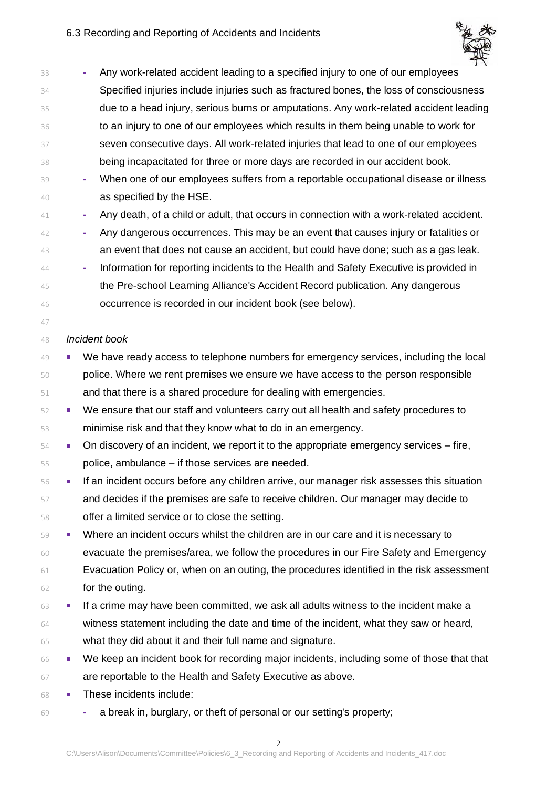

| Specified injuries include injuries such as fractured bones, the loss of consciousness     |
|--------------------------------------------------------------------------------------------|
| due to a head injury, serious burns or amputations. Any work-related accident leading      |
|                                                                                            |
|                                                                                            |
|                                                                                            |
| When one of our employees suffers from a reportable occupational disease or illness        |
|                                                                                            |
| Any death, of a child or adult, that occurs in connection with a work-related accident.    |
| Any dangerous occurrences. This may be an event that causes injury or fatalities or        |
| an event that does not cause an accident, but could have done; such as a gas leak.         |
|                                                                                            |
|                                                                                            |
|                                                                                            |
|                                                                                            |
|                                                                                            |
| We have ready access to telephone numbers for emergency services, including the local      |
|                                                                                            |
|                                                                                            |
|                                                                                            |
|                                                                                            |
|                                                                                            |
|                                                                                            |
| If an incident occurs before any children arrive, our manager risk assesses this situation |
|                                                                                            |
|                                                                                            |
|                                                                                            |
| evacuate the premises/area, we follow the procedures in our Fire Safety and Emergency      |
| Evacuation Policy or, when on an outing, the procedures identified in the risk assessment  |
|                                                                                            |
|                                                                                            |
|                                                                                            |
|                                                                                            |
| We keep an incident book for recording major incidents, including some of those that that  |
|                                                                                            |
|                                                                                            |
|                                                                                            |

**-** a break in, burglary, or theft of personal or our setting's property;